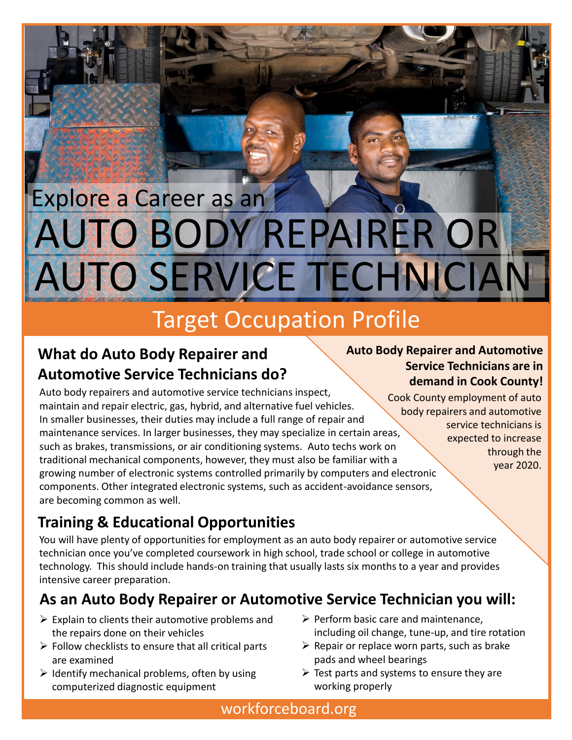# AUTO BODY REPAIRER OR Explore a Career as an AUTO SERVICE TECHNICIAN

# Target Occupation Profile

### **What do Auto Body Repairer and Automotive Service Technicians do?**

Auto body repairers and automotive service technicians inspect, maintain and repair electric, gas, hybrid, and alternative fuel vehicles. In smaller businesses, their duties may include a full range of repair and maintenance services. In larger businesses, they may specialize in certain areas, such as brakes, transmissions, or air conditioning systems. Auto techs work on traditional mechanical components, however, they must also be familiar with a growing number of electronic systems controlled primarily by computers and electronic components. Other integrated electronic systems, such as accident-avoidance sensors, are becoming common as well.

### **Training & Educational Opportunities**

You will have plenty of opportunities for employment as an auto body repairer or automotive service technician once you've completed coursework in high school, trade school or college in automotive technology. This should include hands-on training that usually lasts six months to a year and provides intensive career preparation.

### **As an Auto Body Repairer or Automotive Service Technician you will:**

- $\triangleright$  Explain to clients their automotive problems and the repairs done on their vehicles
- $\triangleright$  Follow checklists to ensure that all critical parts are examined
- $\triangleright$  Identify mechanical problems, often by using computerized diagnostic equipment
- $\triangleright$  Perform basic care and maintenance, including oil change, tune-up, and tire rotation
- $\triangleright$  Repair or replace worn parts, such as brake pads and wheel bearings
- $\triangleright$  Test parts and systems to ensure they are working properly

#### **Auto Body Repairer and Automotive Service Technicians are in demand in Cook County!**

Cook County employment of auto body repairers and automotive service technicians is expected to increase through the year 2020.